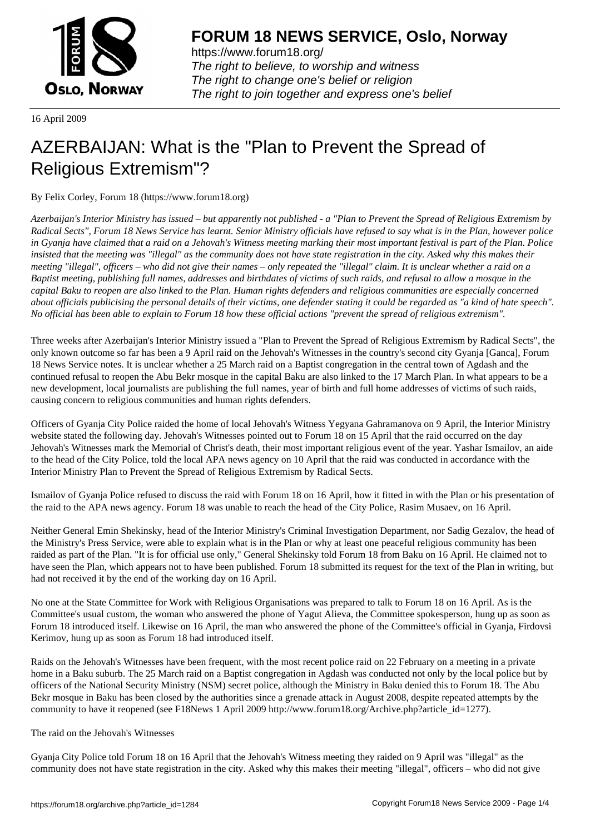

https://www.forum18.org/ The right to believe, to worship and witness The right to change one's belief or religion [The right to join together a](https://www.forum18.org/)nd express one's belief

16 April 2009

## [AZERBAIJAN: W](https://www.forum18.org)hat is the "Plan to Prevent the Spread of Religious Extremism"?

By Felix Corley, Forum 18 (https://www.forum18.org)

*Azerbaijan's Interior Ministry has issued – but apparently not published - a "Plan to Prevent the Spread of Religious Extremism by Radical Sects", Forum 18 News Service has learnt. Senior Ministry officials have refused to say what is in the Plan, however police in Gyanja have claimed that a raid on a Jehovah's Witness meeting marking their most important festival is part of the Plan. Police insisted that the meeting was "illegal" as the community does not have state registration in the city. Asked why this makes their meeting "illegal", officers – who did not give their names – only repeated the "illegal" claim. It is unclear whether a raid on a Baptist meeting, publishing full names, addresses and birthdates of victims of such raids, and refusal to allow a mosque in the capital Baku to reopen are also linked to the Plan. Human rights defenders and religious communities are especially concerned about officials publicising the personal details of their victims, one defender stating it could be regarded as "a kind of hate speech". No official has been able to explain to Forum 18 how these official actions "prevent the spread of religious extremism".*

Three weeks after Azerbaijan's Interior Ministry issued a "Plan to Prevent the Spread of Religious Extremism by Radical Sects", the only known outcome so far has been a 9 April raid on the Jehovah's Witnesses in the country's second city Gyanja [Ganca], Forum 18 News Service notes. It is unclear whether a 25 March raid on a Baptist congregation in the central town of Agdash and the continued refusal to reopen the Abu Bekr mosque in the capital Baku are also linked to the 17 March Plan. In what appears to be a new development, local journalists are publishing the full names, year of birth and full home addresses of victims of such raids, causing concern to religious communities and human rights defenders.

Officers of Gyanja City Police raided the home of local Jehovah's Witness Yegyana Gahramanova on 9 April, the Interior Ministry website stated the following day. Jehovah's Witnesses pointed out to Forum 18 on 15 April that the raid occurred on the day Jehovah's Witnesses mark the Memorial of Christ's death, their most important religious event of the year. Yashar Ismailov, an aide to the head of the City Police, told the local APA news agency on 10 April that the raid was conducted in accordance with the Interior Ministry Plan to Prevent the Spread of Religious Extremism by Radical Sects.

Ismailov of Gyanja Police refused to discuss the raid with Forum 18 on 16 April, how it fitted in with the Plan or his presentation of the raid to the APA news agency. Forum 18 was unable to reach the head of the City Police, Rasim Musaev, on 16 April.

Neither General Emin Shekinsky, head of the Interior Ministry's Criminal Investigation Department, nor Sadig Gezalov, the head of the Ministry's Press Service, were able to explain what is in the Plan or why at least one peaceful religious community has been raided as part of the Plan. "It is for official use only," General Shekinsky told Forum 18 from Baku on 16 April. He claimed not to have seen the Plan, which appears not to have been published. Forum 18 submitted its request for the text of the Plan in writing, but had not received it by the end of the working day on 16 April.

No one at the State Committee for Work with Religious Organisations was prepared to talk to Forum 18 on 16 April. As is the Committee's usual custom, the woman who answered the phone of Yagut Alieva, the Committee spokesperson, hung up as soon as Forum 18 introduced itself. Likewise on 16 April, the man who answered the phone of the Committee's official in Gyanja, Firdovsi Kerimov, hung up as soon as Forum 18 had introduced itself.

Raids on the Jehovah's Witnesses have been frequent, with the most recent police raid on 22 February on a meeting in a private home in a Baku suburb. The 25 March raid on a Baptist congregation in Agdash was conducted not only by the local police but by officers of the National Security Ministry (NSM) secret police, although the Ministry in Baku denied this to Forum 18. The Abu Bekr mosque in Baku has been closed by the authorities since a grenade attack in August 2008, despite repeated attempts by the community to have it reopened (see F18News 1 April 2009 http://www.forum18.org/Archive.php?article\_id=1277).

## The raid on the Jehovah's Witnesses

Gyanja City Police told Forum 18 on 16 April that the Jehovah's Witness meeting they raided on 9 April was "illegal" as the community does not have state registration in the city. Asked why this makes their meeting "illegal", officers – who did not give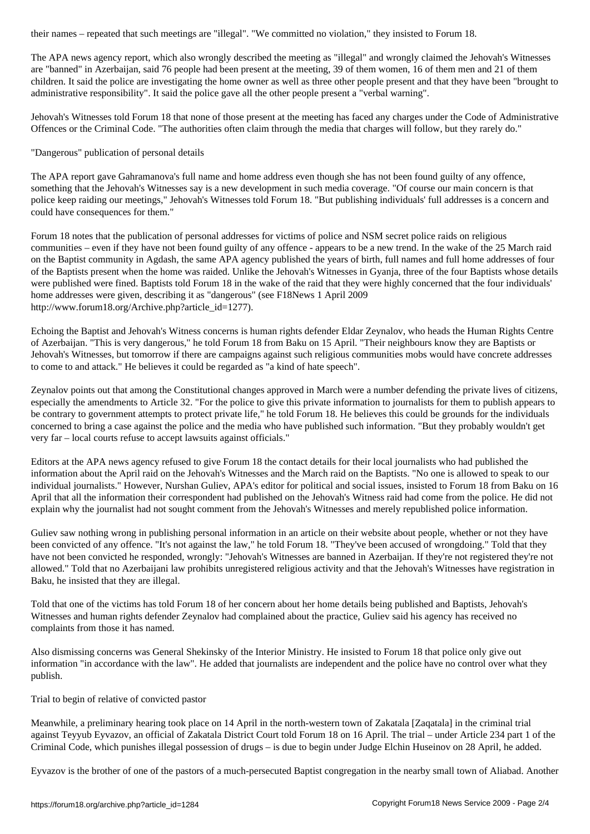The APA news agency report, which also wrongly described the meeting as "illegal" and wrongly claimed the Jehovah's Witnesses are "banned" in Azerbaijan, said 76 people had been present at the meeting, 39 of them women, 16 of them men and 21 of them children. It said the police are investigating the home owner as well as three other people present and that they have been "brought to administrative responsibility". It said the police gave all the other people present a "verbal warning".

Jehovah's Witnesses told Forum 18 that none of those present at the meeting has faced any charges under the Code of Administrative Offences or the Criminal Code. "The authorities often claim through the media that charges will follow, but they rarely do."

"Dangerous" publication of personal details

The APA report gave Gahramanova's full name and home address even though she has not been found guilty of any offence, something that the Jehovah's Witnesses say is a new development in such media coverage. "Of course our main concern is that police keep raiding our meetings," Jehovah's Witnesses told Forum 18. "But publishing individuals' full addresses is a concern and could have consequences for them."

Forum 18 notes that the publication of personal addresses for victims of police and NSM secret police raids on religious communities – even if they have not been found guilty of any offence - appears to be a new trend. In the wake of the 25 March raid on the Baptist community in Agdash, the same APA agency published the years of birth, full names and full home addresses of four of the Baptists present when the home was raided. Unlike the Jehovah's Witnesses in Gyanja, three of the four Baptists whose details were published were fined. Baptists told Forum 18 in the wake of the raid that they were highly concerned that the four individuals' home addresses were given, describing it as "dangerous" (see F18News 1 April 2009 http://www.forum18.org/Archive.php?article\_id=1277).

Echoing the Baptist and Jehovah's Witness concerns is human rights defender Eldar Zeynalov, who heads the Human Rights Centre of Azerbaijan. "This is very dangerous," he told Forum 18 from Baku on 15 April. "Their neighbours know they are Baptists or Jehovah's Witnesses, but tomorrow if there are campaigns against such religious communities mobs would have concrete addresses to come to and attack." He believes it could be regarded as "a kind of hate speech".

Zeynalov points out that among the Constitutional changes approved in March were a number defending the private lives of citizens, especially the amendments to Article 32. "For the police to give this private information to journalists for them to publish appears to be contrary to government attempts to protect private life," he told Forum 18. He believes this could be grounds for the individuals concerned to bring a case against the police and the media who have published such information. "But they probably wouldn't get very far – local courts refuse to accept lawsuits against officials."

Editors at the APA news agency refused to give Forum 18 the contact details for their local journalists who had published the information about the April raid on the Jehovah's Witnesses and the March raid on the Baptists. "No one is allowed to speak to our individual journalists." However, Nurshan Guliev, APA's editor for political and social issues, insisted to Forum 18 from Baku on 16 April that all the information their correspondent had published on the Jehovah's Witness raid had come from the police. He did not explain why the journalist had not sought comment from the Jehovah's Witnesses and merely republished police information.

Guliev saw nothing wrong in publishing personal information in an article on their website about people, whether or not they have been convicted of any offence. "It's not against the law," he told Forum 18. "They've been accused of wrongdoing." Told that they have not been convicted he responded, wrongly: "Jehovah's Witnesses are banned in Azerbaijan. If they're not registered they're not allowed." Told that no Azerbaijani law prohibits unregistered religious activity and that the Jehovah's Witnesses have registration in Baku, he insisted that they are illegal.

Told that one of the victims has told Forum 18 of her concern about her home details being published and Baptists, Jehovah's Witnesses and human rights defender Zeynalov had complained about the practice, Guliev said his agency has received no complaints from those it has named.

Also dismissing concerns was General Shekinsky of the Interior Ministry. He insisted to Forum 18 that police only give out information "in accordance with the law". He added that journalists are independent and the police have no control over what they publish.

Trial to begin of relative of convicted pastor

Meanwhile, a preliminary hearing took place on 14 April in the north-western town of Zakatala [Zaqatala] in the criminal trial against Teyyub Eyvazov, an official of Zakatala District Court told Forum 18 on 16 April. The trial – under Article 234 part 1 of the Criminal Code, which punishes illegal possession of drugs – is due to begin under Judge Elchin Huseinov on 28 April, he added.

Eyvazov is the brother of one of the pastors of a much-persecuted Baptist congregation in the nearby small town of Aliabad. Another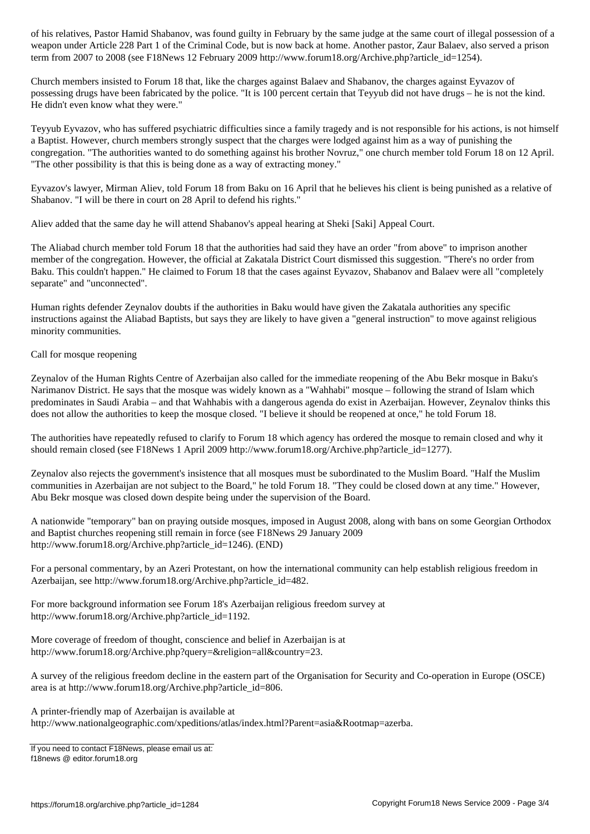weapon under Article 228 Part 1 of the Criminal Code, but is now back at home. Another pastor, Zaur Balaev, al term from 2007 to 2008 (see F18News 12 February 2009 http://www.forum18.org/Archive.php?article\_id=1254).

Church members insisted to Forum 18 that, like the charges against Balaev and Shabanov, the charges against Eyvazov of possessing drugs have been fabricated by the police. "It is 100 percent certain that Teyyub did not have drugs – he is not the kind. He didn't even know what they were."

Teyyub Eyvazov, who has suffered psychiatric difficulties since a family tragedy and is not responsible for his actions, is not himself a Baptist. However, church members strongly suspect that the charges were lodged against him as a way of punishing the congregation. "The authorities wanted to do something against his brother Novruz," one church member told Forum 18 on 12 April. "The other possibility is that this is being done as a way of extracting money."

Eyvazov's lawyer, Mirman Aliev, told Forum 18 from Baku on 16 April that he believes his client is being punished as a relative of Shabanov. "I will be there in court on 28 April to defend his rights."

Aliev added that the same day he will attend Shabanov's appeal hearing at Sheki [Saki] Appeal Court.

The Aliabad church member told Forum 18 that the authorities had said they have an order "from above" to imprison another member of the congregation. However, the official at Zakatala District Court dismissed this suggestion. "There's no order from Baku. This couldn't happen." He claimed to Forum 18 that the cases against Eyvazov, Shabanov and Balaev were all "completely separate" and "unconnected".

Human rights defender Zeynalov doubts if the authorities in Baku would have given the Zakatala authorities any specific instructions against the Aliabad Baptists, but says they are likely to have given a "general instruction" to move against religious minority communities.

Call for mosque reopening

Zeynalov of the Human Rights Centre of Azerbaijan also called for the immediate reopening of the Abu Bekr mosque in Baku's Narimanov District. He says that the mosque was widely known as a "Wahhabi" mosque – following the strand of Islam which predominates in Saudi Arabia – and that Wahhabis with a dangerous agenda do exist in Azerbaijan. However, Zeynalov thinks this does not allow the authorities to keep the mosque closed. "I believe it should be reopened at once," he told Forum 18.

The authorities have repeatedly refused to clarify to Forum 18 which agency has ordered the mosque to remain closed and why it should remain closed (see F18News 1 April 2009 http://www.forum18.org/Archive.php?article\_id=1277).

Zeynalov also rejects the government's insistence that all mosques must be subordinated to the Muslim Board. "Half the Muslim communities in Azerbaijan are not subject to the Board," he told Forum 18. "They could be closed down at any time." However, Abu Bekr mosque was closed down despite being under the supervision of the Board.

A nationwide "temporary" ban on praying outside mosques, imposed in August 2008, along with bans on some Georgian Orthodox and Baptist churches reopening still remain in force (see F18News 29 January 2009 http://www.forum18.org/Archive.php?article\_id=1246). (END)

For a personal commentary, by an Azeri Protestant, on how the international community can help establish religious freedom in Azerbaijan, see http://www.forum18.org/Archive.php?article\_id=482.

For more background information see Forum 18's Azerbaijan religious freedom survey at http://www.forum18.org/Archive.php?article\_id=1192.

More coverage of freedom of thought, conscience and belief in Azerbaijan is at http://www.forum18.org/Archive.php?query=&religion=all&country=23.

A survey of the religious freedom decline in the eastern part of the Organisation for Security and Co-operation in Europe (OSCE) area is at http://www.forum18.org/Archive.php?article\_id=806.

A printer-friendly map of Azerbaijan is available at

http://www.nationalgeographic.com/xpeditions/atlas/index.html?Parent=asia&Rootmap=azerba.

If you need to contact F18News, please email us at: f18news @ editor.forum18.org